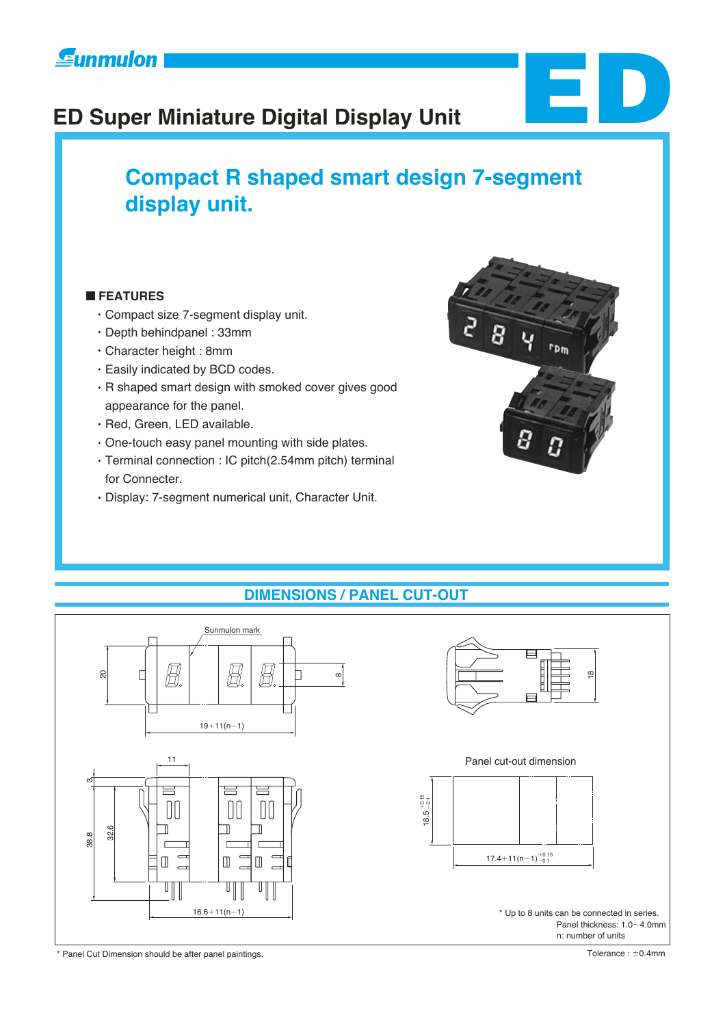# **ED Super Miniature Digital Display Unit**

## **Compact R shaped smart design 7-segment display unit.**

#### **FEATURES**

- Compact size 7-segment display unit.
- Depth behindpanel : 33mm
- Character height : 8mm
- Easily indicated by BCD codes.
- R shaped smart design with smoked cover gives good appearance for the panel.
- · Red, Green, LED available.
- One-touch easy panel mounting with side plates.
- Terminal connection : IC pitch(2.54mm pitch) terminal for Connecter.
- Display: 7-segment numerical unit, Character Unit.



**ED**

#### **DIMENSIONS / PANEL CUT-OUT**





\* Panel Cut Dimension should be after panel paintings.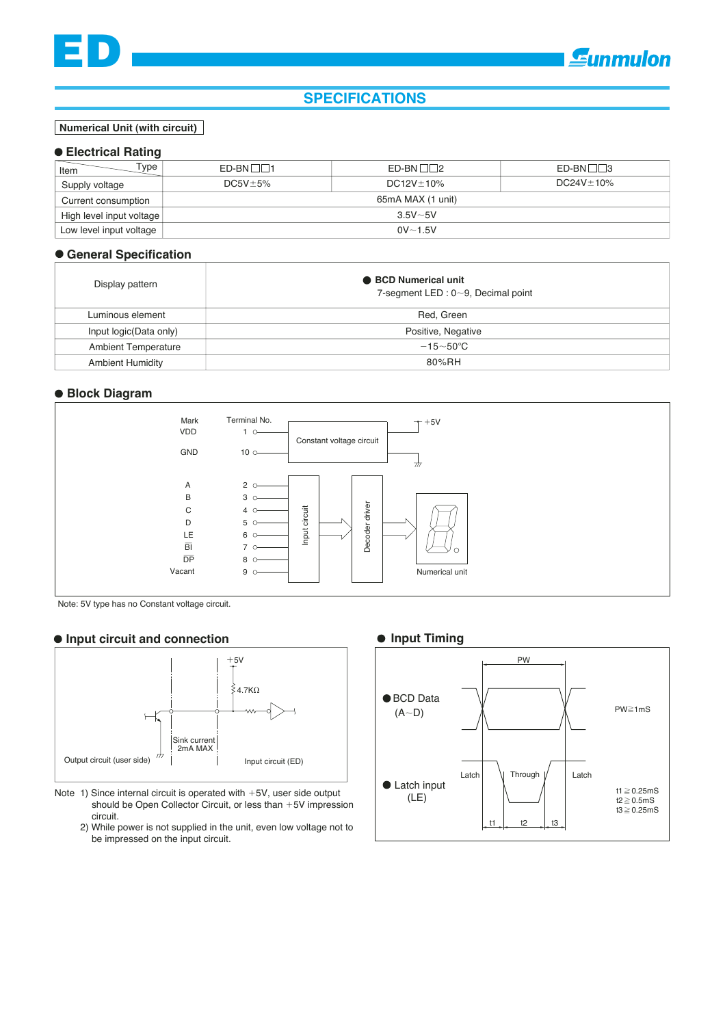#### **SPECIFICATIONS**

#### **Numerical Unit (with circuit)**

#### **Electrical Rating**

| vpe<br>Item              | $ED-BN \Box \Box 1$ | $ED-BN \Box 2$   | $ED-BN \Box \Box$ 3 |  |  |
|--------------------------|---------------------|------------------|---------------------|--|--|
| Supply voltage           | $DC5V \pm 5\%$      | $DC12V \pm 10\%$ | $DC24V \pm 10\%$    |  |  |
| Current consumption      | 65mA MAX (1 unit)   |                  |                     |  |  |
| High level input voltage | $3.5V - 5V$         |                  |                     |  |  |
| Low level input voltage  | $0V - 1.5V$         |                  |                     |  |  |

#### **General Specification**

| Display pattern            | ● BCD Numerical unit<br>7-segment LED : $0 \sim 9$ , Decimal point |
|----------------------------|--------------------------------------------------------------------|
| Luminous element           | Red. Green                                                         |
| Input logic(Data only)     | Positive, Negative                                                 |
| <b>Ambient Temperature</b> | $-15\sim50^{\circ}$ C                                              |
| <b>Ambient Humidity</b>    | 80%RH                                                              |

#### **Block Diagram**



Note: 5V type has no Constant voltage circuit.

#### **Input circuit and connection**



- Note 1) Since internal circuit is operated with  $+5V$ , user side output should be Open Collector Circuit, or less than  $+5V$  impression circuit.
	- 2) While power is not supplied in the unit, even low voltage not to be impressed on the input circuit.

#### **Input Timing**

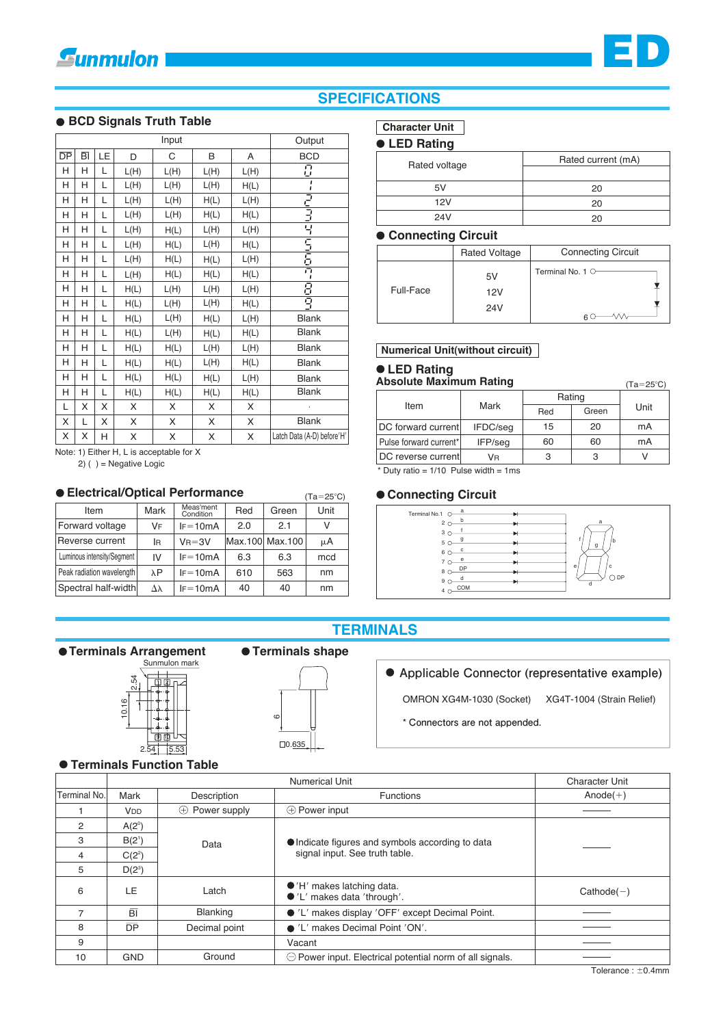#### **. BCD Signals Truth Table**

| Input           |    |    |      |      |      | Output |                            |
|-----------------|----|----|------|------|------|--------|----------------------------|
| $\overline{DP}$ | вī | LE | D    | С    | B    | Α      | <b>BCD</b>                 |
| Н               | н  | L  | L(H) | L(H) | L(H) | L(H)   | $\overline{U}$             |
| Н               | н  | L  | L(H) | L(H) | L(H) | H(L)   | ı                          |
| Н               | Н  | L  | L(H) | L(H) | H(L) | L(H)   |                            |
| Н               | Н  | L  | L(H) | L(H) | H(L) | H(L)   |                            |
| Н               | Н  | L  | L(H) | H(L) | L(H) | L(H)   |                            |
| H               | Н  | L  | L(H) | H(L) | L(H) | H(L)   |                            |
| Н               | н  | Г  | L(H) | H(L) | H(L) | L(H)   | つうごうこう                     |
| Н               | Н  | L  | L(H) | H(L) | H(L) | H(L)   | $\mathbf{I}$               |
| Н               | Н  | L  | H(L) | L(H) | L(H) | L(H)   | 冒马                         |
| Н               | н  | L  | H(L) | L(H) | L(H) | H(L)   |                            |
| Н               | Н  | L  | H(L) | L(H) | H(L) | L(H)   | <b>Blank</b>               |
| Н               | Н  | L  | H(L) | L(H) | H(L) | H(L)   | <b>Blank</b>               |
| Н               | н  | L  | H(L) | H(L) | L(H) | L(H)   | <b>Blank</b>               |
| Н               | н  | L  | H(L) | H(L) | L(H) | H(L)   | <b>Blank</b>               |
| Н               | Н  | L  | H(L) | H(L) | H(L) | L(H)   | <b>Blank</b>               |
| Н               | н  | L  | H(L) | H(L) | H(L) | H(L)   | <b>Blank</b>               |
| L               | X  | X  | X    | X    | X    | X      |                            |
| X               | L  | X  | X    | Χ    | X    | Χ      | <b>Blank</b>               |
| X               | X  | Н  | X    | X    | X    | X      | Latch Data (A-D) before'H' |

Note: 1) Either H. L is acceptable for X

 $2)$  ( ) = Negative Logic

#### **• Electrical/Optical Performance**

| • Electrical/Optical Performance<br>$(Ta=25^{\circ}C)$ |      |                        |     |                 |      |  |
|--------------------------------------------------------|------|------------------------|-----|-----------------|------|--|
| Item                                                   | Mark | Meas'ment<br>Condition | Red | Green           | Unit |  |
| Forward voltage                                        | VF   | $IF = 10mA$            | 2.0 | 2.1             | v    |  |
| Reverse current                                        | lR   | $V_B = 3V$             |     | Max.100 Max.100 | μA   |  |
| Luminous intensity/Segment                             | IV   | $IF = 10mA$            | 6.3 | 6.3             | mcd  |  |
| Peak radiation wavelength                              | λP   | $IF = 10mA$            | 610 | 563             | nm   |  |
| Spectral half-width                                    | Δλ   | $IF = 10mA$            | 40  | 40              | nm   |  |

### **SPECIFICATIONS**

#### **Character Unit**

#### • LED Rating

| Rated voltage | Rated current (mA) |  |  |
|---------------|--------------------|--|--|
|               |                    |  |  |
| 5V            | 20                 |  |  |
| 12V           | 20                 |  |  |
| 24V           | 20                 |  |  |

#### ● Connecting Circuit

|           | <b>Rated Voltage</b> | <b>Connecting Circuit</b> |
|-----------|----------------------|---------------------------|
| Full-Face | 5V<br>12V<br>24V     | Terminal No. 1 $\circ$    |

#### Numerical Unit(without circuit)

#### **• LED Rating**

**Absolute Maximum Rating**  $(Ta=25^{\circ}C)$ 

|                        |          | Rating |       |      |
|------------------------|----------|--------|-------|------|
| Item                   | Mark     | Red    | Green | Unit |
| DC forward current     | IFDC/seq | 15     | 20    | mA   |
| Pulse forward current* | IFP/seg  | 60     | 60    | mA   |
| DC reverse current     | Vв       | з      | 3     |      |

\* Duty ratio =  $1/10$  Pulse width =  $1ms$ 

#### ● Connecting Circuit



## **TERMINALS**

● Terminals Arrangement



#### **• Terminals shape**



#### • Applicable Connector (representative example)

OMRON XG4M-1030 (Socket) XG4T-1004 (Strain Relief)

\* Connectors are not appended.

#### **• Terminals Function Table**

|                | <b>Numerical Unit</b> |                          |                                                                  | <b>Character Unit</b> |  |
|----------------|-----------------------|--------------------------|------------------------------------------------------------------|-----------------------|--|
| Terminal No.   | Mark                  | Description              | <b>Functions</b>                                                 | $Anode(+)$            |  |
|                | <b>V<sub>DD</sub></b> | Power supply<br>$^{(+)}$ | $\oplus$ Power input                                             |                       |  |
| $\overline{2}$ | $A(2^{\circ})$        |                          |                                                                  |                       |  |
| 3              | $B(2^1)$              | Data                     | • Indicate figures and symbols according to data                 |                       |  |
| $\overline{4}$ | $C(2^2)$              |                          | signal input. See truth table.                                   |                       |  |
| 5              | $D(2^3)$              |                          |                                                                  |                       |  |
| 6              | LE                    | Latch                    | $\bullet$ 'H' makes latching data.<br>●'L' makes data 'through'. | $Cathode(-)$          |  |
| 7              | BI                    | <b>Blanking</b>          | ● 'L' makes display 'OFF' except Decimal Point.                  |                       |  |
| 8              | $\overline{DP}$       | Decimal point            | • 'L' makes Decimal Point 'ON'.                                  |                       |  |
| 9              |                       |                          | Vacant                                                           |                       |  |
| 10             | <b>GND</b>            | Ground                   | $\ominus$ Power input. Electrical potential norm of all signals. |                       |  |